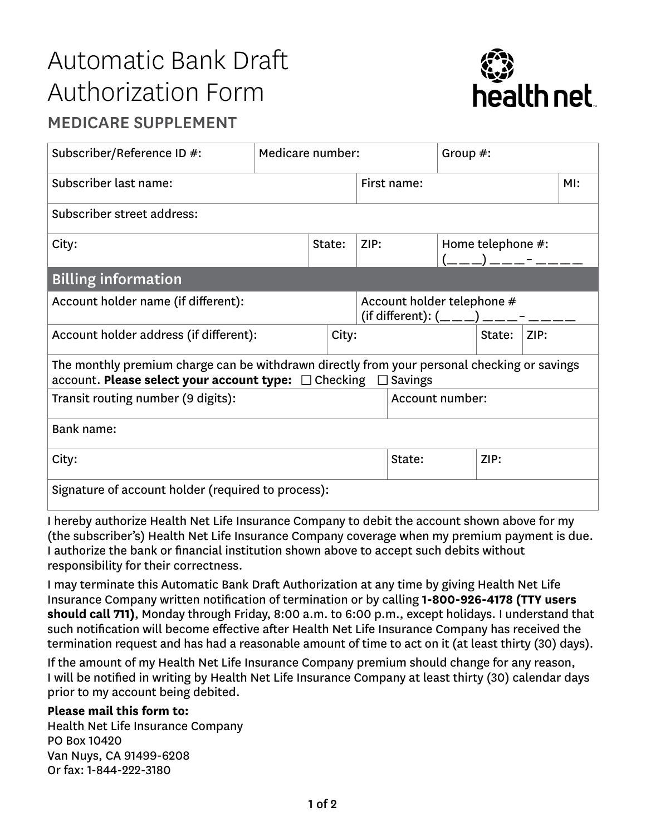## Automatic Bank Draft Authorization Form



## MEDICARE SUPPLEMENT

| Subscriber/Reference ID #:                                                                                                                                    | Medicare number: |        |             |                                                                             | Group $#$ :     |        |                                                   |  |  |  |
|---------------------------------------------------------------------------------------------------------------------------------------------------------------|------------------|--------|-------------|-----------------------------------------------------------------------------|-----------------|--------|---------------------------------------------------|--|--|--|
| Subscriber last name:                                                                                                                                         |                  |        | First name: |                                                                             |                 |        | MI:                                               |  |  |  |
| Subscriber street address:                                                                                                                                    |                  |        |             |                                                                             |                 |        |                                                   |  |  |  |
| City:                                                                                                                                                         |                  | State: |             | ZIP:                                                                        |                 |        | Home telephone #:<br>(__ __ _) __ __ _ - __ __ __ |  |  |  |
| <b>Billing information</b>                                                                                                                                    |                  |        |             |                                                                             |                 |        |                                                   |  |  |  |
| Account holder name (if different):                                                                                                                           |                  |        |             | Account holder telephone #<br>(if different): $($ _ _ _ ) _ _ _ _ - _ _ _ _ |                 |        |                                                   |  |  |  |
| Account holder address (if different):                                                                                                                        |                  |        | City:       |                                                                             |                 | State: | ZIP:                                              |  |  |  |
| The monthly premium charge can be withdrawn directly from your personal checking or savings<br>account. Please select your account type: □ Checking □ Savings |                  |        |             |                                                                             |                 |        |                                                   |  |  |  |
| Transit routing number (9 digits):                                                                                                                            |                  |        |             |                                                                             | Account number: |        |                                                   |  |  |  |
| Bank name:                                                                                                                                                    |                  |        |             |                                                                             |                 |        |                                                   |  |  |  |
| City:                                                                                                                                                         |                  |        |             |                                                                             | State:          | ZIP:   |                                                   |  |  |  |
| Signature of account holder (required to process):                                                                                                            |                  |        |             |                                                                             |                 |        |                                                   |  |  |  |

I hereby authorize Health Net Life Insurance Company to debit the account shown above for my (the subscriber's) Health Net Life Insurance Company coverage when my premium payment is due. I authorize the bank or financial institution shown above to accept such debits without responsibility for their correctness.

I may terminate this Automatic Bank Draft Authorization at any time by giving Health Net Life Insurance Company written notification of termination or by calling **1-800-926-4178 (TTY users should call 711)**, Monday through Friday, 8:00 a.m. to 6:00 p.m., except holidays. I understand that such notification will become effective after Health Net Life Insurance Company has received the termination request and has had a reasonable amount of time to act on it (at least thirty (30) days).

If the amount of my Health Net Life Insurance Company premium should change for any reason, I will be notified in writing by Health Net Life Insurance Company at least thirty (30) calendar days prior to my account being debited.

## **Please mail this form to:**

Health Net Life Insurance Company PO Box 10420 Van Nuys, CA 91499-6208 Or fax: 1-844-222-3180